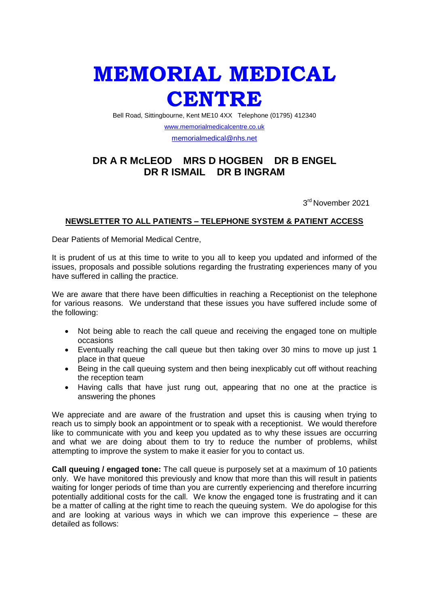## **MEMORIAL MEDICAL CENTRE**

Bell Road, Sittingbourne, Kent ME10 4XX Telephone (01795) 412340

[www.memorialmedicalcentre.co.uk](http://www.memorialmedicalcentre.co.uk/) [memorialmedical@nhs.net](mailto:memorialmedical@nhs.net)

## **DR A R McLEOD MRS D HOGBEN DR B ENGEL DR R ISMAIL DR B INGRAM**

3 rd November 2021

## **NEWSLETTER TO ALL PATIENTS – TELEPHONE SYSTEM & PATIENT ACCESS**

Dear Patients of Memorial Medical Centre,

It is prudent of us at this time to write to you all to keep you updated and informed of the issues, proposals and possible solutions regarding the frustrating experiences many of you have suffered in calling the practice.

We are aware that there have been difficulties in reaching a Receptionist on the telephone for various reasons. We understand that these issues you have suffered include some of the following:

- Not being able to reach the call queue and receiving the engaged tone on multiple occasions
- Eventually reaching the call queue but then taking over 30 mins to move up just 1 place in that queue
- Being in the call queuing system and then being inexplicably cut off without reaching the reception team
- Having calls that have just rung out, appearing that no one at the practice is answering the phones

We appreciate and are aware of the frustration and upset this is causing when trying to reach us to simply book an appointment or to speak with a receptionist. We would therefore like to communicate with you and keep you updated as to why these issues are occurring and what we are doing about them to try to reduce the number of problems, whilst attempting to improve the system to make it easier for you to contact us.

**Call queuing / engaged tone:** The call queue is purposely set at a maximum of 10 patients only. We have monitored this previously and know that more than this will result in patients waiting for longer periods of time than you are currently experiencing and therefore incurring potentially additional costs for the call. We know the engaged tone is frustrating and it can be a matter of calling at the right time to reach the queuing system. We do apologise for this and are looking at various ways in which we can improve this experience – these are detailed as follows: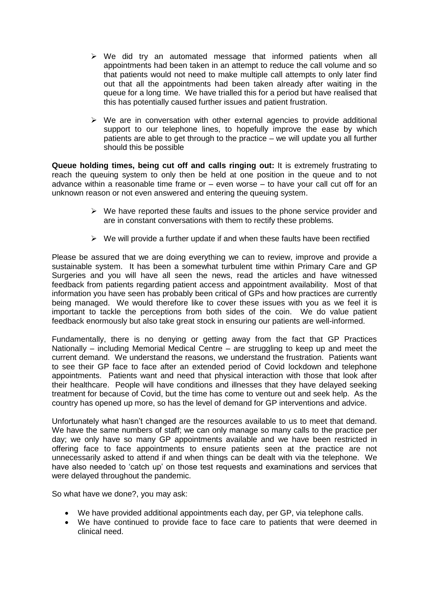- $\triangleright$  We did try an automated message that informed patients when all appointments had been taken in an attempt to reduce the call volume and so that patients would not need to make multiple call attempts to only later find out that all the appointments had been taken already after waiting in the queue for a long time. We have trialled this for a period but have realised that this has potentially caused further issues and patient frustration.
- $\triangleright$  We are in conversation with other external agencies to provide additional support to our telephone lines, to hopefully improve the ease by which patients are able to get through to the practice – we will update you all further should this be possible

**Queue holding times, being cut off and calls ringing out:** It is extremely frustrating to reach the queuing system to only then be held at one position in the queue and to not advance within a reasonable time frame or  $-$  even worse  $-$  to have your call cut off for an unknown reason or not even answered and entering the queuing system.

- $\triangleright$  We have reported these faults and issues to the phone service provider and are in constant conversations with them to rectify these problems.
- $\triangleright$  We will provide a further update if and when these faults have been rectified

Please be assured that we are doing everything we can to review, improve and provide a sustainable system. It has been a somewhat turbulent time within Primary Care and GP Surgeries and you will have all seen the news, read the articles and have witnessed feedback from patients regarding patient access and appointment availability. Most of that information you have seen has probably been critical of GPs and how practices are currently being managed. We would therefore like to cover these issues with you as we feel it is important to tackle the perceptions from both sides of the coin. We do value patient feedback enormously but also take great stock in ensuring our patients are well-informed.

Fundamentally, there is no denying or getting away from the fact that GP Practices Nationally – including Memorial Medical Centre – are struggling to keep up and meet the current demand. We understand the reasons, we understand the frustration. Patients want to see their GP face to face after an extended period of Covid lockdown and telephone appointments. Patients want and need that physical interaction with those that look after their healthcare. People will have conditions and illnesses that they have delayed seeking treatment for because of Covid, but the time has come to venture out and seek help. As the country has opened up more, so has the level of demand for GP interventions and advice.

Unfortunately what hasn't changed are the resources available to us to meet that demand. We have the same numbers of staff; we can only manage so many calls to the practice per day; we only have so many GP appointments available and we have been restricted in offering face to face appointments to ensure patients seen at the practice are not unnecessarily asked to attend if and when things can be dealt with via the telephone. We have also needed to 'catch up' on those test requests and examinations and services that were delayed throughout the pandemic.

So what have we done?, you may ask:

- We have provided additional appointments each day, per GP, via telephone calls.
- We have continued to provide face to face care to patients that were deemed in clinical need.